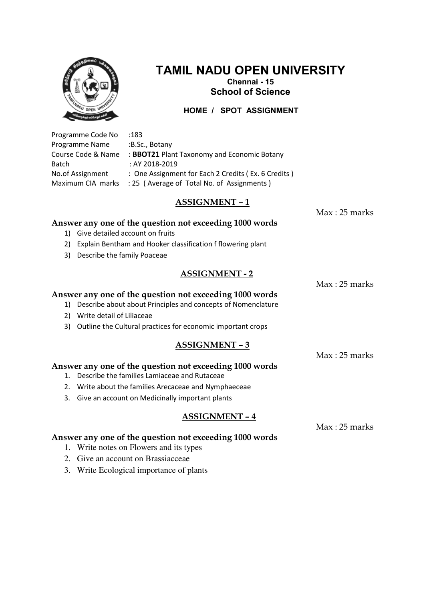

# **TAMIL NADU OPEN UNIVERSITY**

**Chennai - 15 School of Science** 

 **HOME / SPOT ASSIGNMENT**

Programme Code No :183 Programme Name :B.Sc., Botany Course Code & Name : **BBOT21** Plant Taxonomy and Economic Botany Batch : AY 2018-2019 No.of Assignment : One Assignment for Each 2 Credits (Ex. 6 Credits) Maximum CIA marks : 25 (Average of Total No. of Assignments)

# **ASSIGNMENT – 1**

 $Max \cdot 25$  marks

Max : 25 marks

Max : 25 marks

# **Answer any one of the question not exceeding 1000 words**

- 1) Give detailed account on fruits
- 2) Explain Bentham and Hooker classification f flowering plant
- 3) Describe the family Poaceae

## **ASSIGNMENT - 2**

#### **Answer any one of the question not exceeding 1000 words**

- 1) Describe about about Principles and concepts of Nomenclature
- 2) Write detail of Liliaceae
- 3) Outline the Cultural practices for economic important crops

#### **ASSIGNMENT – 3**

**Answer any one of the question not exceeding 1000 words** 

- 1. Describe the families Lamiaceae and Rutaceae
- 2. Write about the families Arecaceae and Nymphaeceae
- 3. Give an account on Medicinally important plants

#### **ASSIGNMENT – 4**

Max : 25 marks

- **Answer any one of the question not exceeding 1000 words** 
	- 1. Write notes on Flowers and its types
	- 2. Give an account on Brassiacceae
	- 3. Write Ecological importance of plants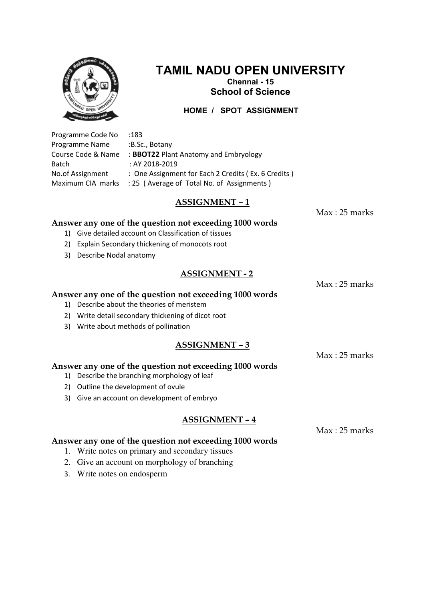

# **TAMIL NADU OPEN UNIVERSITY**

**Chennai - 15 School of Science** 

 **HOME / SPOT ASSIGNMENT**

Programme Code No :183 Programme Name :B.Sc., Botany Course Code & Name : **BBOT22** Plant Anatomy and Embryology Batch : AY 2018-2019 No.of Assignment : One Assignment for Each 2 Credits (Ex. 6 Credits) Maximum CIA marks : 25 (Average of Total No. of Assignments)

## **ASSIGNMENT – 1**

 $Max \cdot 25$  marks

Max : 25 marks

Max : 25 marks

### **Answer any one of the question not exceeding 1000 words**

- 1) Give detailed account on Classification of tissues
- 2) Explain Secondary thickening of monocots root
- 3) Describe Nodal anatomy

## **ASSIGNMENT - 2**

**Answer any one of the question not exceeding 1000 words** 

- 1) Describe about the theories of meristem
- 2) Write detail secondary thickening of dicot root
- 3) Write about methods of pollination

#### **ASSIGNMENT – 3**

**Answer any one of the question not exceeding 1000 words** 

- 1) Describe the branching morphology of leaf
- 2) Outline the development of ovule
- 3) Give an account on development of embryo

#### **ASSIGNMENT – 4**

Max : 25 marks

- **Answer any one of the question not exceeding 1000 words** 
	- 1. Write notes on primary and secondary tissues
	- 2. Give an account on morphology of branching
	- 3. Write notes on endosperm